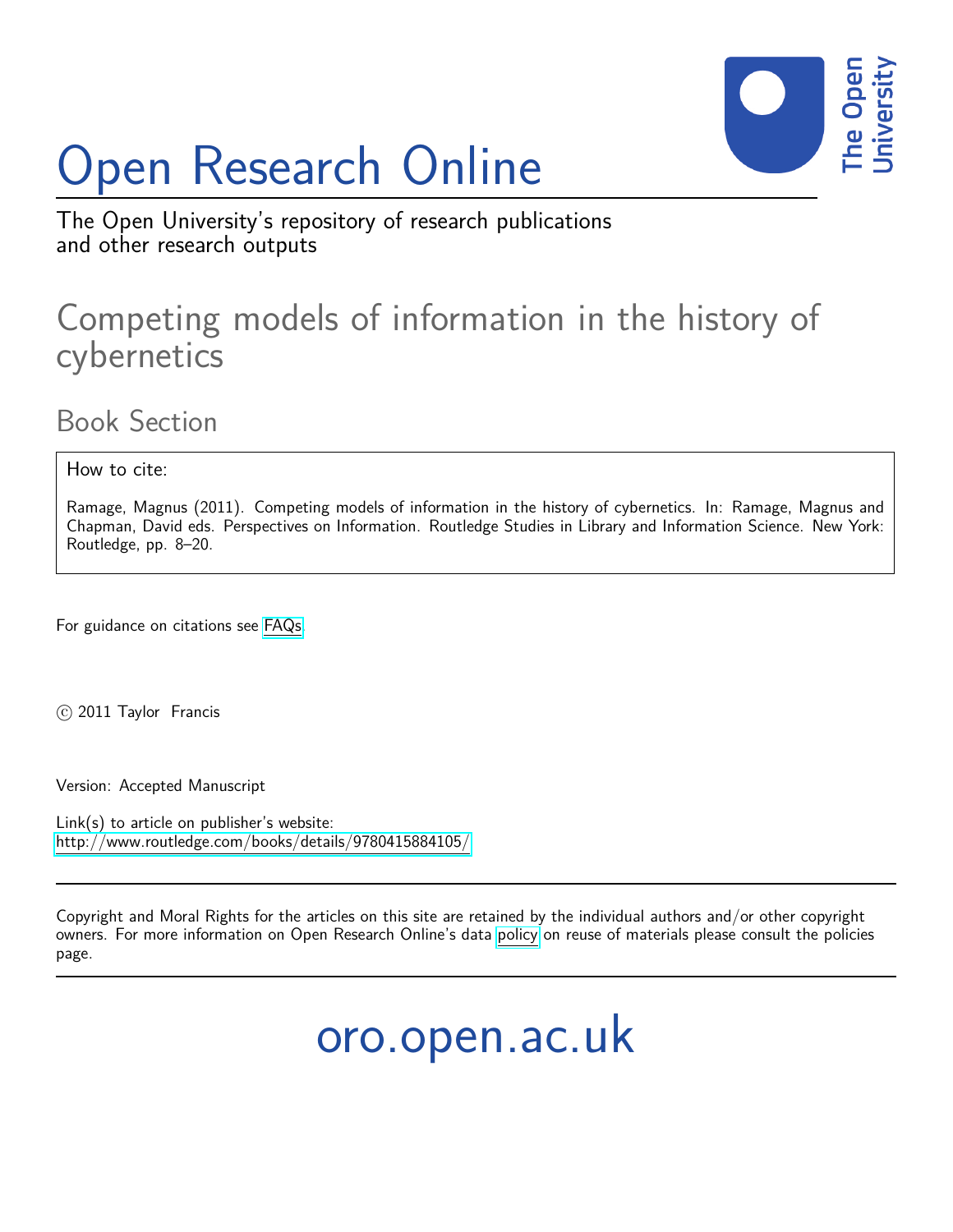# Open Research Online



The Open University's repository of research publications and other research outputs

# Competing models of information in the history of cybernetics

Book Section

How to cite:

Ramage, Magnus (2011). Competing models of information in the history of cybernetics. In: Ramage, Magnus and Chapman, David eds. Perspectives on Information. Routledge Studies in Library and Information Science. New York: Routledge, pp. 8–20.

For guidance on citations see [FAQs.](http://oro.open.ac.uk/help/helpfaq.html)

c 2011 Taylor Francis

Version: Accepted Manuscript

Link(s) to article on publisher's website: <http://www.routledge.com/books/details/9780415884105/>

Copyright and Moral Rights for the articles on this site are retained by the individual authors and/or other copyright owners. For more information on Open Research Online's data [policy](http://oro.open.ac.uk/policies.html) on reuse of materials please consult the policies page.

oro.open.ac.uk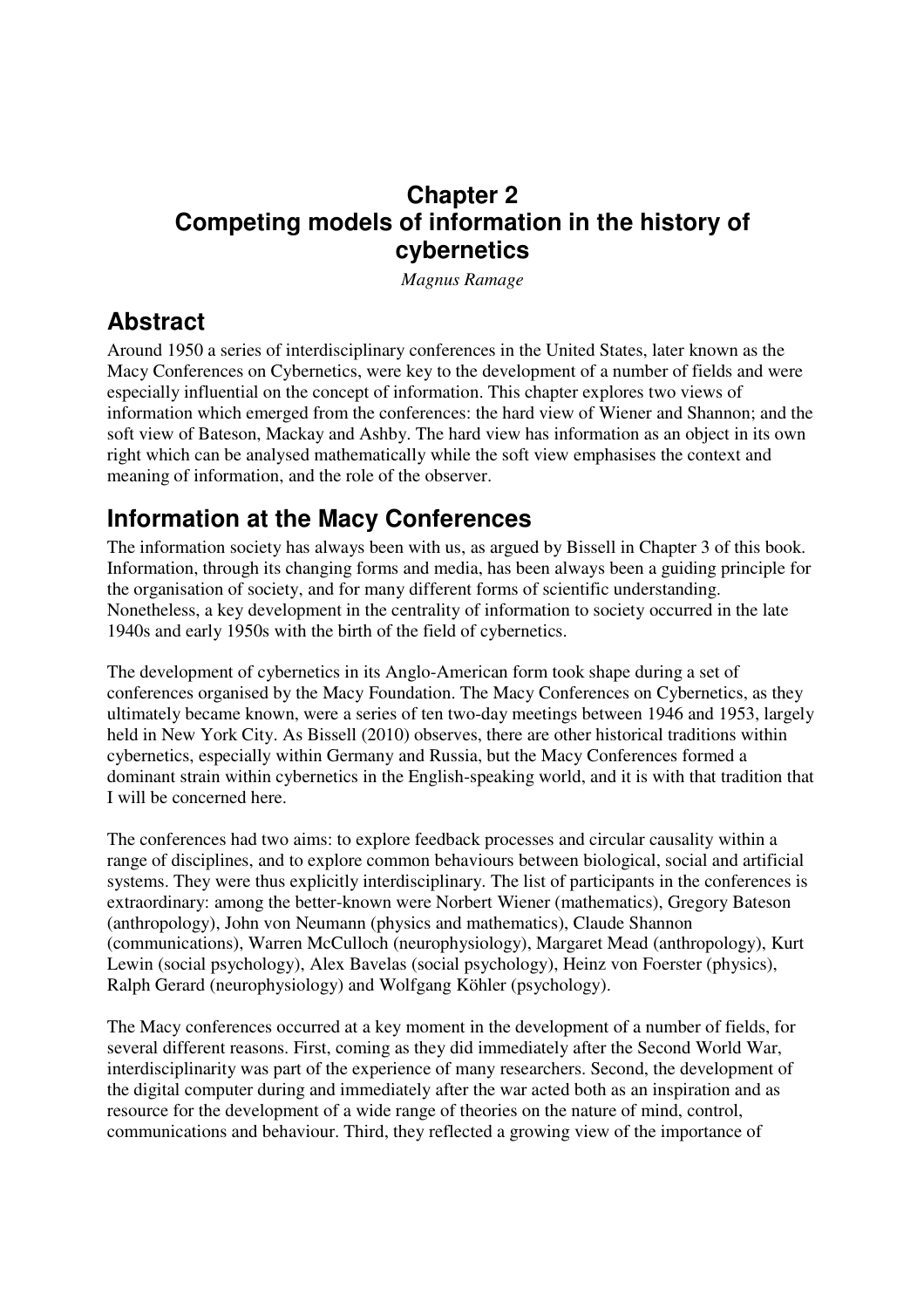#### **Chapter 2 Competing models of information in the history of cybernetics**

*Magnus Ramage* 

#### **Abstract**

Around 1950 a series of interdisciplinary conferences in the United States, later known as the Macy Conferences on Cybernetics, were key to the development of a number of fields and were especially influential on the concept of information. This chapter explores two views of information which emerged from the conferences: the hard view of Wiener and Shannon; and the soft view of Bateson, Mackay and Ashby. The hard view has information as an object in its own right which can be analysed mathematically while the soft view emphasises the context and meaning of information, and the role of the observer.

# **Information at the Macy Conferences**

The information society has always been with us, as argued by Bissell in Chapter 3 of this book. Information, through its changing forms and media, has been always been a guiding principle for the organisation of society, and for many different forms of scientific understanding. Nonetheless, a key development in the centrality of information to society occurred in the late 1940s and early 1950s with the birth of the field of cybernetics.

The development of cybernetics in its Anglo-American form took shape during a set of conferences organised by the Macy Foundation. The Macy Conferences on Cybernetics, as they ultimately became known, were a series of ten two-day meetings between 1946 and 1953, largely held in New York City. As Bissell (2010) observes, there are other historical traditions within cybernetics, especially within Germany and Russia, but the Macy Conferences formed a dominant strain within cybernetics in the English-speaking world, and it is with that tradition that I will be concerned here.

The conferences had two aims: to explore feedback processes and circular causality within a range of disciplines, and to explore common behaviours between biological, social and artificial systems. They were thus explicitly interdisciplinary. The list of participants in the conferences is extraordinary: among the better-known were Norbert Wiener (mathematics), Gregory Bateson (anthropology), John von Neumann (physics and mathematics), Claude Shannon (communications), Warren McCulloch (neurophysiology), Margaret Mead (anthropology), Kurt Lewin (social psychology), Alex Bavelas (social psychology), Heinz von Foerster (physics), Ralph Gerard (neurophysiology) and Wolfgang Köhler (psychology).

The Macy conferences occurred at a key moment in the development of a number of fields, for several different reasons. First, coming as they did immediately after the Second World War, interdisciplinarity was part of the experience of many researchers. Second, the development of the digital computer during and immediately after the war acted both as an inspiration and as resource for the development of a wide range of theories on the nature of mind, control, communications and behaviour. Third, they reflected a growing view of the importance of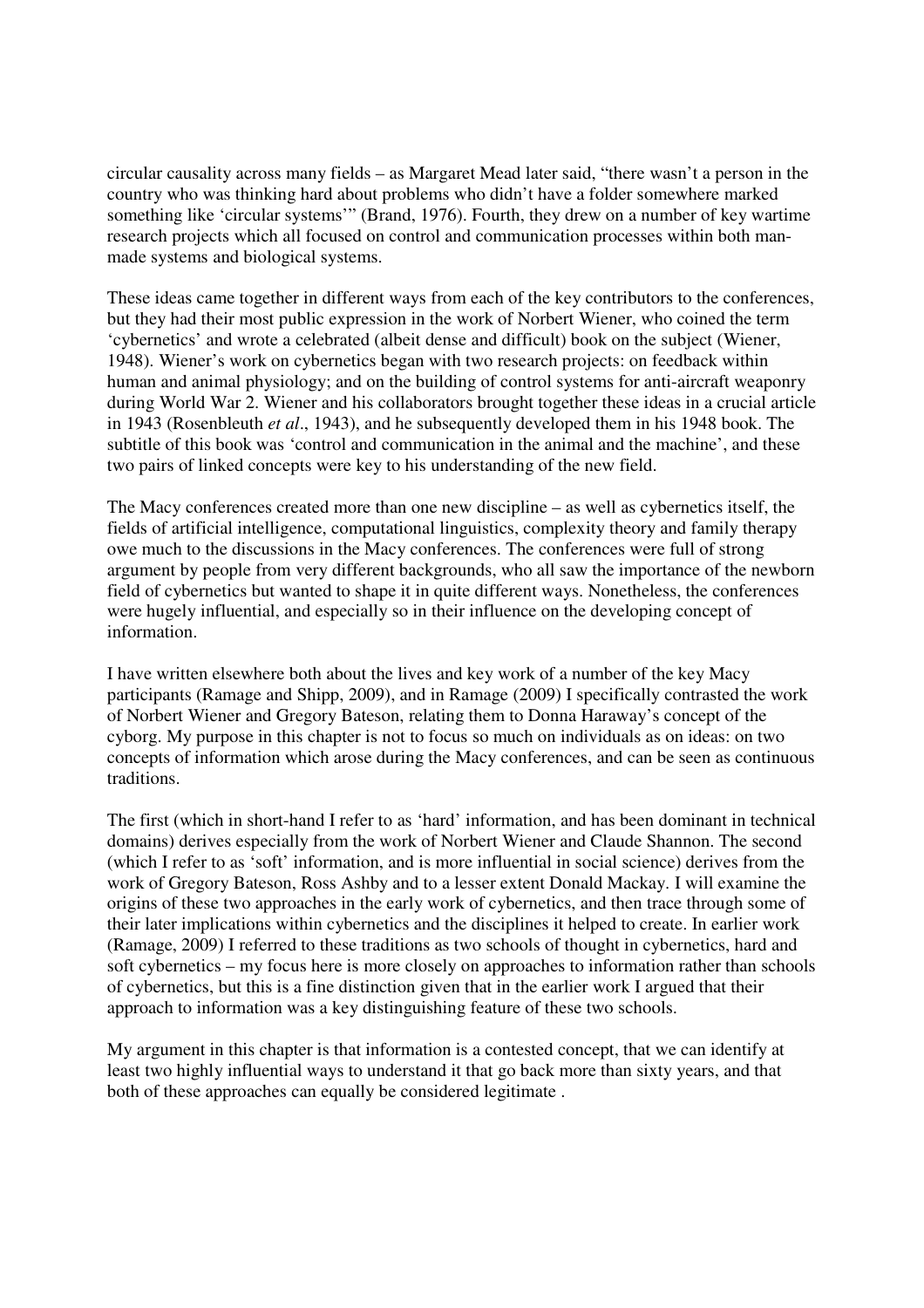circular causality across many fields – as Margaret Mead later said, "there wasn't a person in the country who was thinking hard about problems who didn't have a folder somewhere marked something like 'circular systems'" (Brand, 1976). Fourth, they drew on a number of key wartime research projects which all focused on control and communication processes within both manmade systems and biological systems.

These ideas came together in different ways from each of the key contributors to the conferences, but they had their most public expression in the work of Norbert Wiener, who coined the term 'cybernetics' and wrote a celebrated (albeit dense and difficult) book on the subject (Wiener, 1948). Wiener's work on cybernetics began with two research projects: on feedback within human and animal physiology; and on the building of control systems for anti-aircraft weaponry during World War 2. Wiener and his collaborators brought together these ideas in a crucial article in 1943 (Rosenbleuth *et al*., 1943), and he subsequently developed them in his 1948 book. The subtitle of this book was 'control and communication in the animal and the machine', and these two pairs of linked concepts were key to his understanding of the new field.

The Macy conferences created more than one new discipline – as well as cybernetics itself, the fields of artificial intelligence, computational linguistics, complexity theory and family therapy owe much to the discussions in the Macy conferences. The conferences were full of strong argument by people from very different backgrounds, who all saw the importance of the newborn field of cybernetics but wanted to shape it in quite different ways. Nonetheless, the conferences were hugely influential, and especially so in their influence on the developing concept of information.

I have written elsewhere both about the lives and key work of a number of the key Macy participants (Ramage and Shipp, 2009), and in Ramage (2009) I specifically contrasted the work of Norbert Wiener and Gregory Bateson, relating them to Donna Haraway's concept of the cyborg. My purpose in this chapter is not to focus so much on individuals as on ideas: on two concepts of information which arose during the Macy conferences, and can be seen as continuous traditions.

The first (which in short-hand I refer to as 'hard' information, and has been dominant in technical domains) derives especially from the work of Norbert Wiener and Claude Shannon. The second (which I refer to as 'soft' information, and is more influential in social science) derives from the work of Gregory Bateson, Ross Ashby and to a lesser extent Donald Mackay. I will examine the origins of these two approaches in the early work of cybernetics, and then trace through some of their later implications within cybernetics and the disciplines it helped to create. In earlier work (Ramage, 2009) I referred to these traditions as two schools of thought in cybernetics, hard and soft cybernetics – my focus here is more closely on approaches to information rather than schools of cybernetics, but this is a fine distinction given that in the earlier work I argued that their approach to information was a key distinguishing feature of these two schools.

My argument in this chapter is that information is a contested concept, that we can identify at least two highly influential ways to understand it that go back more than sixty years, and that both of these approaches can equally be considered legitimate .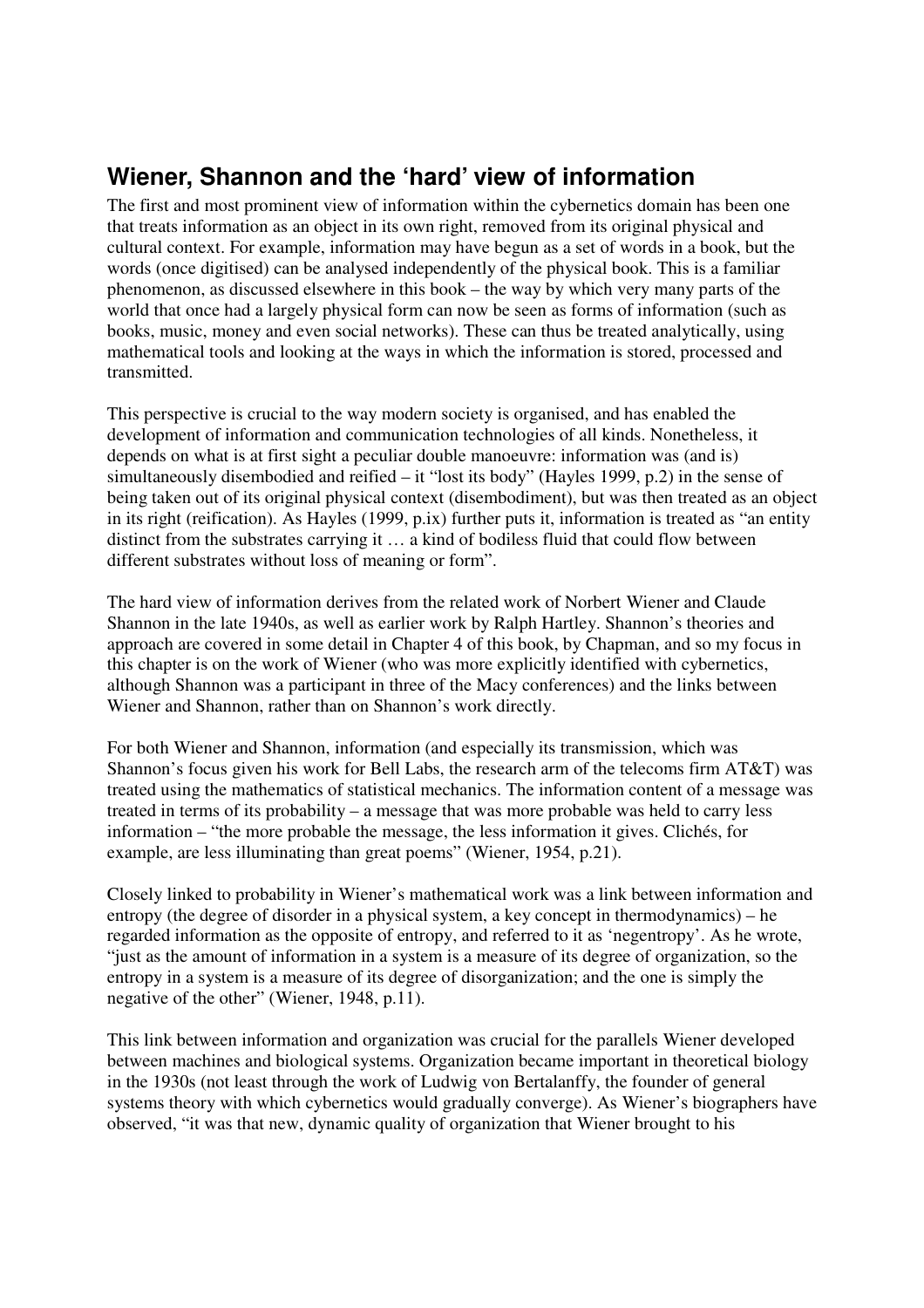# **Wiener, Shannon and the 'hard' view of information**

The first and most prominent view of information within the cybernetics domain has been one that treats information as an object in its own right, removed from its original physical and cultural context. For example, information may have begun as a set of words in a book, but the words (once digitised) can be analysed independently of the physical book. This is a familiar phenomenon, as discussed elsewhere in this book – the way by which very many parts of the world that once had a largely physical form can now be seen as forms of information (such as books, music, money and even social networks). These can thus be treated analytically, using mathematical tools and looking at the ways in which the information is stored, processed and transmitted.

This perspective is crucial to the way modern society is organised, and has enabled the development of information and communication technologies of all kinds. Nonetheless, it depends on what is at first sight a peculiar double manoeuvre: information was (and is) simultaneously disembodied and reified – it "lost its body" (Hayles 1999, p.2) in the sense of being taken out of its original physical context (disembodiment), but was then treated as an object in its right (reification). As Hayles (1999, p.ix) further puts it, information is treated as "an entity distinct from the substrates carrying it … a kind of bodiless fluid that could flow between different substrates without loss of meaning or form".

The hard view of information derives from the related work of Norbert Wiener and Claude Shannon in the late 1940s, as well as earlier work by Ralph Hartley. Shannon's theories and approach are covered in some detail in Chapter 4 of this book, by Chapman, and so my focus in this chapter is on the work of Wiener (who was more explicitly identified with cybernetics, although Shannon was a participant in three of the Macy conferences) and the links between Wiener and Shannon, rather than on Shannon's work directly.

For both Wiener and Shannon, information (and especially its transmission, which was Shannon's focus given his work for Bell Labs, the research arm of the telecoms firm AT&T) was treated using the mathematics of statistical mechanics. The information content of a message was treated in terms of its probability – a message that was more probable was held to carry less information – "the more probable the message, the less information it gives. Clichés, for example, are less illuminating than great poems" (Wiener, 1954, p.21).

Closely linked to probability in Wiener's mathematical work was a link between information and entropy (the degree of disorder in a physical system, a key concept in thermodynamics) – he regarded information as the opposite of entropy, and referred to it as 'negentropy'. As he wrote, "just as the amount of information in a system is a measure of its degree of organization, so the entropy in a system is a measure of its degree of disorganization; and the one is simply the negative of the other" (Wiener, 1948, p.11).

This link between information and organization was crucial for the parallels Wiener developed between machines and biological systems. Organization became important in theoretical biology in the 1930s (not least through the work of Ludwig von Bertalanffy, the founder of general systems theory with which cybernetics would gradually converge). As Wiener's biographers have observed, "it was that new, dynamic quality of organization that Wiener brought to his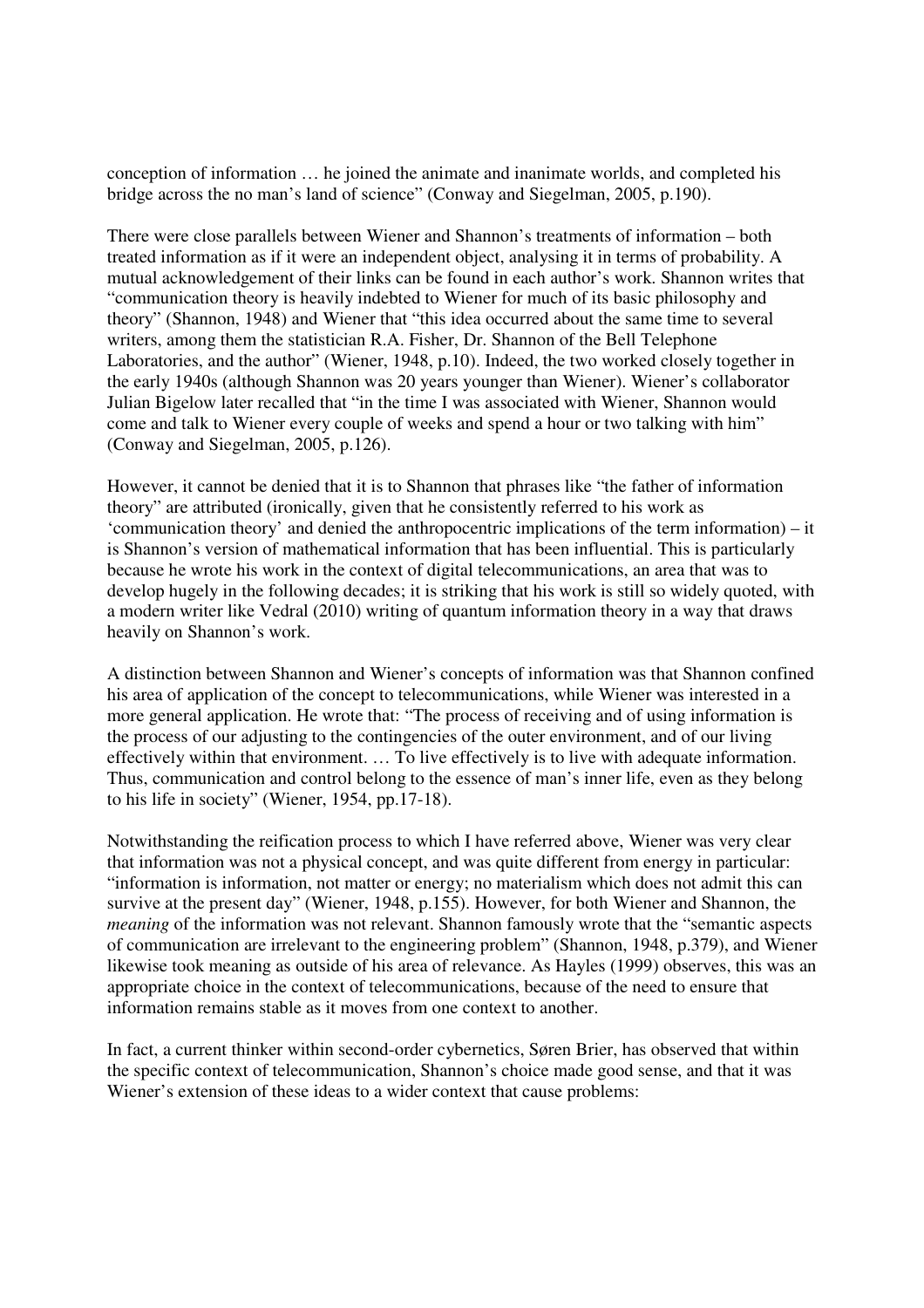conception of information … he joined the animate and inanimate worlds, and completed his bridge across the no man's land of science" (Conway and Siegelman, 2005, p.190).

There were close parallels between Wiener and Shannon's treatments of information – both treated information as if it were an independent object, analysing it in terms of probability. A mutual acknowledgement of their links can be found in each author's work. Shannon writes that "communication theory is heavily indebted to Wiener for much of its basic philosophy and theory" (Shannon, 1948) and Wiener that "this idea occurred about the same time to several writers, among them the statistician R.A. Fisher, Dr. Shannon of the Bell Telephone Laboratories, and the author" (Wiener, 1948, p.10). Indeed, the two worked closely together in the early 1940s (although Shannon was 20 years younger than Wiener). Wiener's collaborator Julian Bigelow later recalled that "in the time I was associated with Wiener, Shannon would come and talk to Wiener every couple of weeks and spend a hour or two talking with him" (Conway and Siegelman, 2005, p.126).

However, it cannot be denied that it is to Shannon that phrases like "the father of information theory" are attributed (ironically, given that he consistently referred to his work as 'communication theory' and denied the anthropocentric implications of the term information) – it is Shannon's version of mathematical information that has been influential. This is particularly because he wrote his work in the context of digital telecommunications, an area that was to develop hugely in the following decades; it is striking that his work is still so widely quoted, with a modern writer like Vedral (2010) writing of quantum information theory in a way that draws heavily on Shannon's work.

A distinction between Shannon and Wiener's concepts of information was that Shannon confined his area of application of the concept to telecommunications, while Wiener was interested in a more general application. He wrote that: "The process of receiving and of using information is the process of our adjusting to the contingencies of the outer environment, and of our living effectively within that environment. … To live effectively is to live with adequate information. Thus, communication and control belong to the essence of man's inner life, even as they belong to his life in society" (Wiener, 1954, pp.17-18).

Notwithstanding the reification process to which I have referred above, Wiener was very clear that information was not a physical concept, and was quite different from energy in particular: "information is information, not matter or energy; no materialism which does not admit this can survive at the present day" (Wiener, 1948, p.155). However, for both Wiener and Shannon, the *meaning* of the information was not relevant. Shannon famously wrote that the "semantic aspects" of communication are irrelevant to the engineering problem" (Shannon, 1948, p.379), and Wiener likewise took meaning as outside of his area of relevance. As Hayles (1999) observes, this was an appropriate choice in the context of telecommunications, because of the need to ensure that information remains stable as it moves from one context to another.

In fact, a current thinker within second-order cybernetics, Søren Brier, has observed that within the specific context of telecommunication, Shannon's choice made good sense, and that it was Wiener's extension of these ideas to a wider context that cause problems: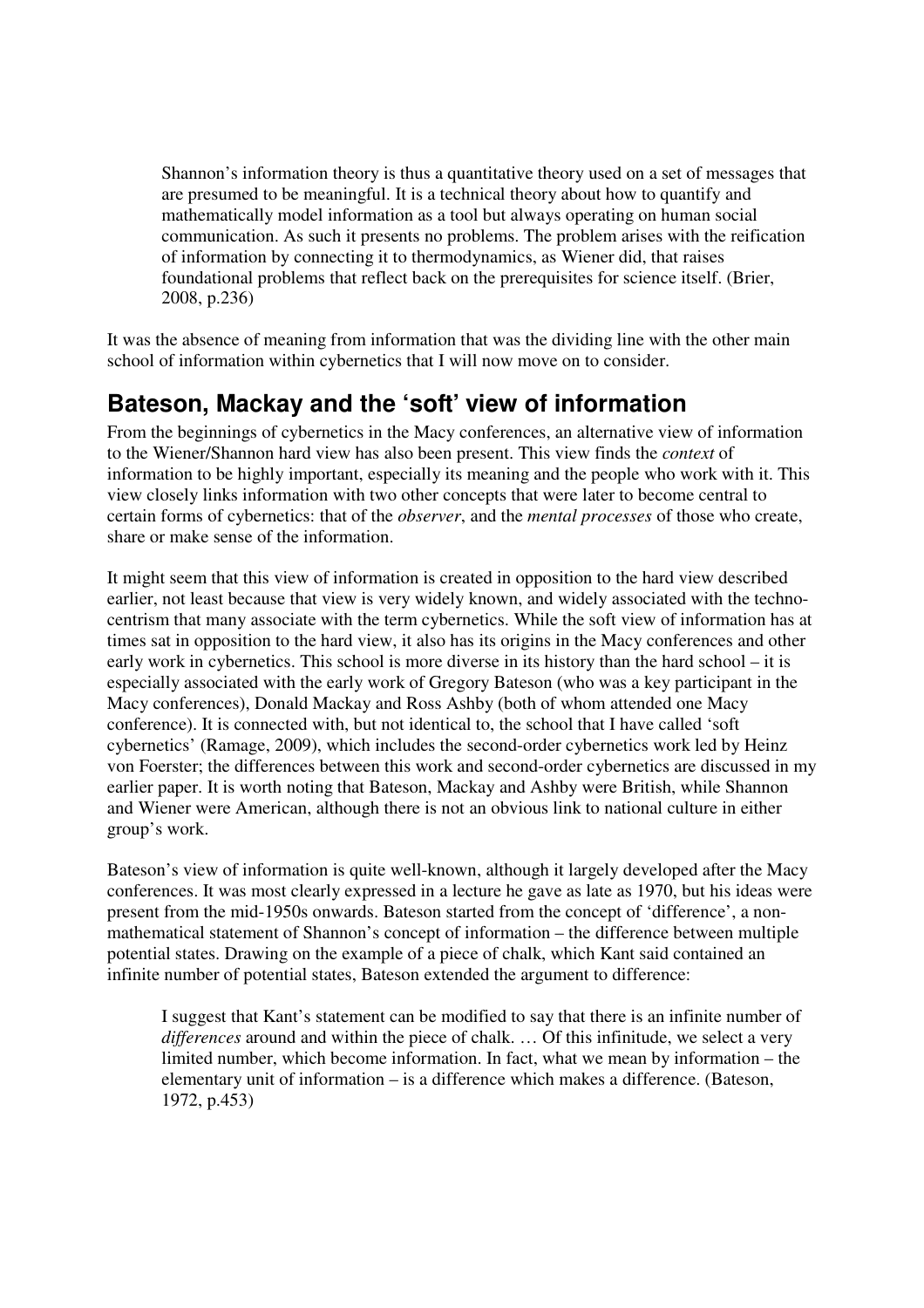Shannon's information theory is thus a quantitative theory used on a set of messages that are presumed to be meaningful. It is a technical theory about how to quantify and mathematically model information as a tool but always operating on human social communication. As such it presents no problems. The problem arises with the reification of information by connecting it to thermodynamics, as Wiener did, that raises foundational problems that reflect back on the prerequisites for science itself. (Brier, 2008, p.236)

It was the absence of meaning from information that was the dividing line with the other main school of information within cybernetics that I will now move on to consider.

#### **Bateson, Mackay and the 'soft' view of information**

From the beginnings of cybernetics in the Macy conferences, an alternative view of information to the Wiener/Shannon hard view has also been present. This view finds the *context* of information to be highly important, especially its meaning and the people who work with it. This view closely links information with two other concepts that were later to become central to certain forms of cybernetics: that of the *observer*, and the *mental processes* of those who create, share or make sense of the information.

It might seem that this view of information is created in opposition to the hard view described earlier, not least because that view is very widely known, and widely associated with the technocentrism that many associate with the term cybernetics. While the soft view of information has at times sat in opposition to the hard view, it also has its origins in the Macy conferences and other early work in cybernetics. This school is more diverse in its history than the hard school – it is especially associated with the early work of Gregory Bateson (who was a key participant in the Macy conferences), Donald Mackay and Ross Ashby (both of whom attended one Macy conference). It is connected with, but not identical to, the school that I have called 'soft cybernetics' (Ramage, 2009), which includes the second-order cybernetics work led by Heinz von Foerster; the differences between this work and second-order cybernetics are discussed in my earlier paper. It is worth noting that Bateson, Mackay and Ashby were British, while Shannon and Wiener were American, although there is not an obvious link to national culture in either group's work.

Bateson's view of information is quite well-known, although it largely developed after the Macy conferences. It was most clearly expressed in a lecture he gave as late as 1970, but his ideas were present from the mid-1950s onwards. Bateson started from the concept of 'difference', a nonmathematical statement of Shannon's concept of information – the difference between multiple potential states. Drawing on the example of a piece of chalk, which Kant said contained an infinite number of potential states, Bateson extended the argument to difference:

I suggest that Kant's statement can be modified to say that there is an infinite number of *differences* around and within the piece of chalk. … Of this infinitude, we select a very limited number, which become information. In fact, what we mean by information – the elementary unit of information – is a difference which makes a difference. (Bateson, 1972, p.453)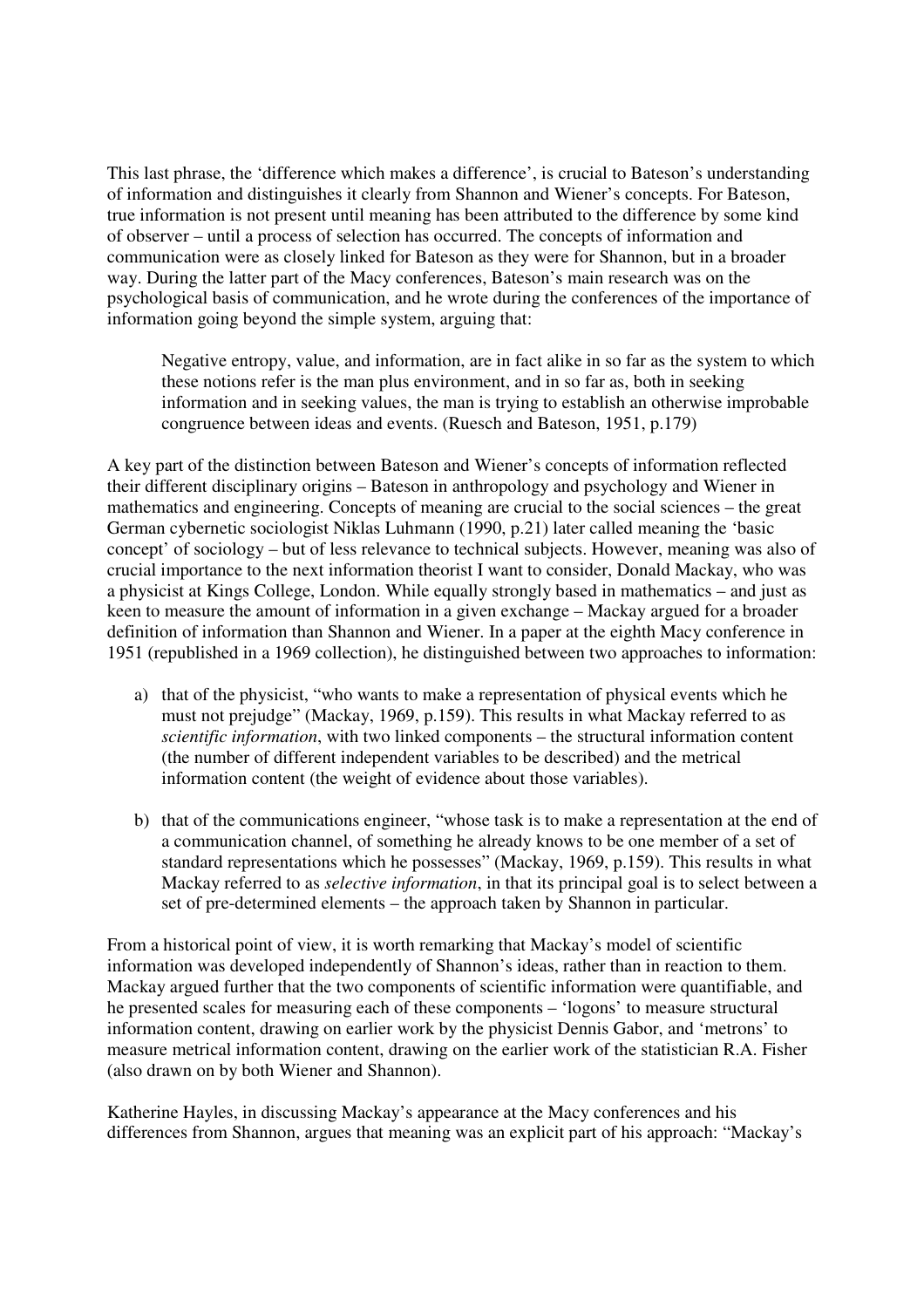This last phrase, the 'difference which makes a difference', is crucial to Bateson's understanding of information and distinguishes it clearly from Shannon and Wiener's concepts. For Bateson, true information is not present until meaning has been attributed to the difference by some kind of observer – until a process of selection has occurred. The concepts of information and communication were as closely linked for Bateson as they were for Shannon, but in a broader way. During the latter part of the Macy conferences, Bateson's main research was on the psychological basis of communication, and he wrote during the conferences of the importance of information going beyond the simple system, arguing that:

Negative entropy, value, and information, are in fact alike in so far as the system to which these notions refer is the man plus environment, and in so far as, both in seeking information and in seeking values, the man is trying to establish an otherwise improbable congruence between ideas and events. (Ruesch and Bateson, 1951, p.179)

A key part of the distinction between Bateson and Wiener's concepts of information reflected their different disciplinary origins – Bateson in anthropology and psychology and Wiener in mathematics and engineering. Concepts of meaning are crucial to the social sciences – the great German cybernetic sociologist Niklas Luhmann (1990, p.21) later called meaning the 'basic concept' of sociology – but of less relevance to technical subjects. However, meaning was also of crucial importance to the next information theorist I want to consider, Donald Mackay, who was a physicist at Kings College, London. While equally strongly based in mathematics – and just as keen to measure the amount of information in a given exchange – Mackay argued for a broader definition of information than Shannon and Wiener. In a paper at the eighth Macy conference in 1951 (republished in a 1969 collection), he distinguished between two approaches to information:

- a) that of the physicist, "who wants to make a representation of physical events which he must not prejudge" (Mackay, 1969, p.159). This results in what Mackay referred to as *scientific information*, with two linked components – the structural information content (the number of different independent variables to be described) and the metrical information content (the weight of evidence about those variables).
- b) that of the communications engineer, "whose task is to make a representation at the end of a communication channel, of something he already knows to be one member of a set of standard representations which he possesses" (Mackay, 1969, p.159). This results in what Mackay referred to as *selective information*, in that its principal goal is to select between a set of pre-determined elements – the approach taken by Shannon in particular.

From a historical point of view, it is worth remarking that Mackay's model of scientific information was developed independently of Shannon's ideas, rather than in reaction to them. Mackay argued further that the two components of scientific information were quantifiable, and he presented scales for measuring each of these components – 'logons' to measure structural information content, drawing on earlier work by the physicist Dennis Gabor, and 'metrons' to measure metrical information content, drawing on the earlier work of the statistician R.A. Fisher (also drawn on by both Wiener and Shannon).

Katherine Hayles, in discussing Mackay's appearance at the Macy conferences and his differences from Shannon, argues that meaning was an explicit part of his approach: "Mackay's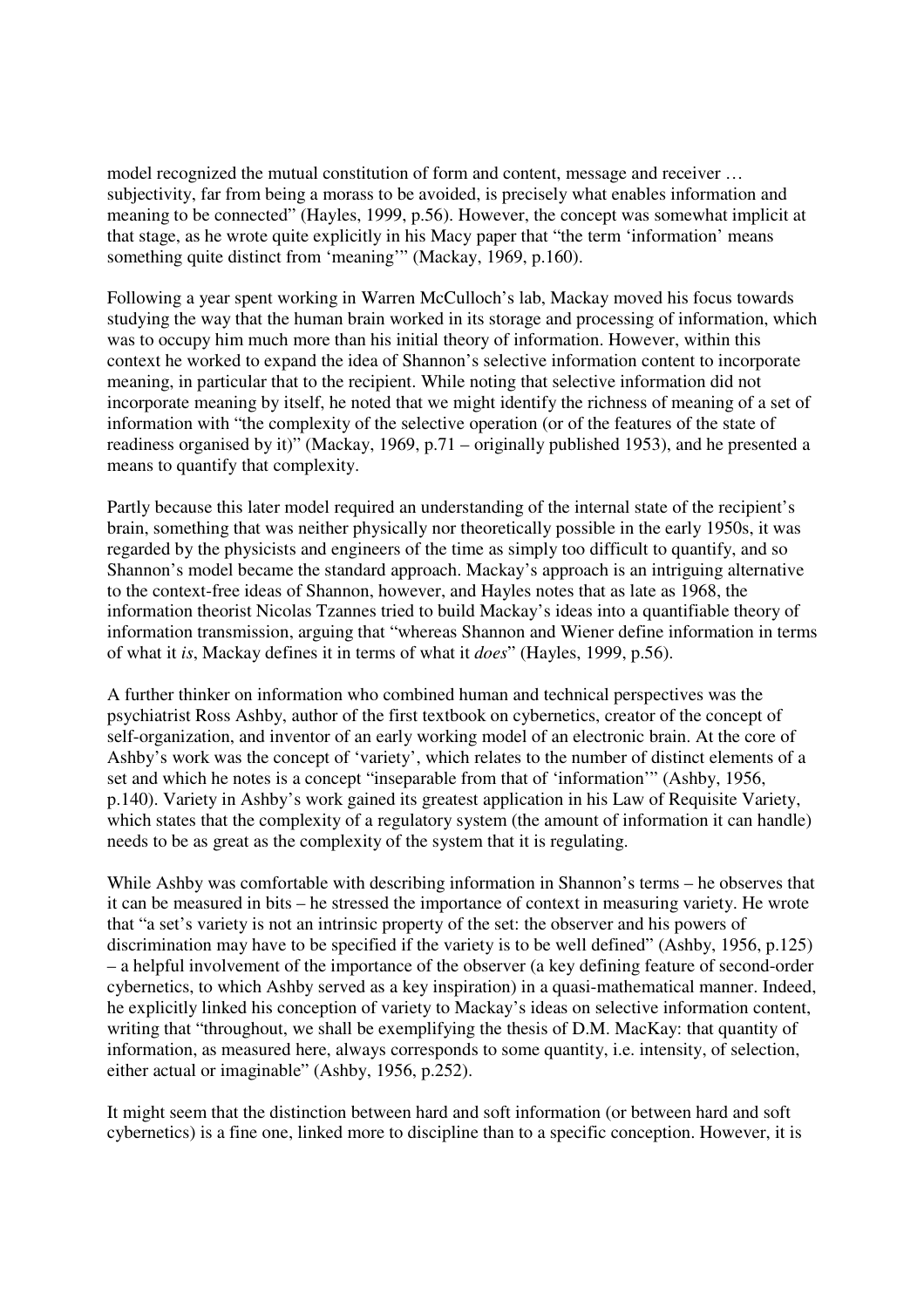model recognized the mutual constitution of form and content, message and receiver … subjectivity, far from being a morass to be avoided, is precisely what enables information and meaning to be connected" (Hayles, 1999, p.56). However, the concept was somewhat implicit at that stage, as he wrote quite explicitly in his Macy paper that "the term 'information' means something quite distinct from 'meaning'" (Mackay, 1969, p.160).

Following a year spent working in Warren McCulloch's lab, Mackay moved his focus towards studying the way that the human brain worked in its storage and processing of information, which was to occupy him much more than his initial theory of information. However, within this context he worked to expand the idea of Shannon's selective information content to incorporate meaning, in particular that to the recipient. While noting that selective information did not incorporate meaning by itself, he noted that we might identify the richness of meaning of a set of information with "the complexity of the selective operation (or of the features of the state of readiness organised by it)" (Mackay, 1969, p.71 – originally published 1953), and he presented a means to quantify that complexity.

Partly because this later model required an understanding of the internal state of the recipient's brain, something that was neither physically nor theoretically possible in the early 1950s, it was regarded by the physicists and engineers of the time as simply too difficult to quantify, and so Shannon's model became the standard approach. Mackay's approach is an intriguing alternative to the context-free ideas of Shannon, however, and Hayles notes that as late as 1968, the information theorist Nicolas Tzannes tried to build Mackay's ideas into a quantifiable theory of information transmission, arguing that "whereas Shannon and Wiener define information in terms of what it *is*, Mackay defines it in terms of what it *does*" (Hayles, 1999, p.56).

A further thinker on information who combined human and technical perspectives was the psychiatrist Ross Ashby, author of the first textbook on cybernetics, creator of the concept of self-organization, and inventor of an early working model of an electronic brain. At the core of Ashby's work was the concept of 'variety', which relates to the number of distinct elements of a set and which he notes is a concept "inseparable from that of 'information'" (Ashby, 1956, p.140). Variety in Ashby's work gained its greatest application in his Law of Requisite Variety, which states that the complexity of a regulatory system (the amount of information it can handle) needs to be as great as the complexity of the system that it is regulating.

While Ashby was comfortable with describing information in Shannon's terms – he observes that it can be measured in bits – he stressed the importance of context in measuring variety. He wrote that "a set's variety is not an intrinsic property of the set: the observer and his powers of discrimination may have to be specified if the variety is to be well defined" (Ashby, 1956, p.125) – a helpful involvement of the importance of the observer (a key defining feature of second-order cybernetics, to which Ashby served as a key inspiration) in a quasi-mathematical manner. Indeed, he explicitly linked his conception of variety to Mackay's ideas on selective information content, writing that "throughout, we shall be exemplifying the thesis of D.M. MacKay: that quantity of information, as measured here, always corresponds to some quantity, i.e. intensity, of selection, either actual or imaginable" (Ashby, 1956, p.252).

It might seem that the distinction between hard and soft information (or between hard and soft cybernetics) is a fine one, linked more to discipline than to a specific conception. However, it is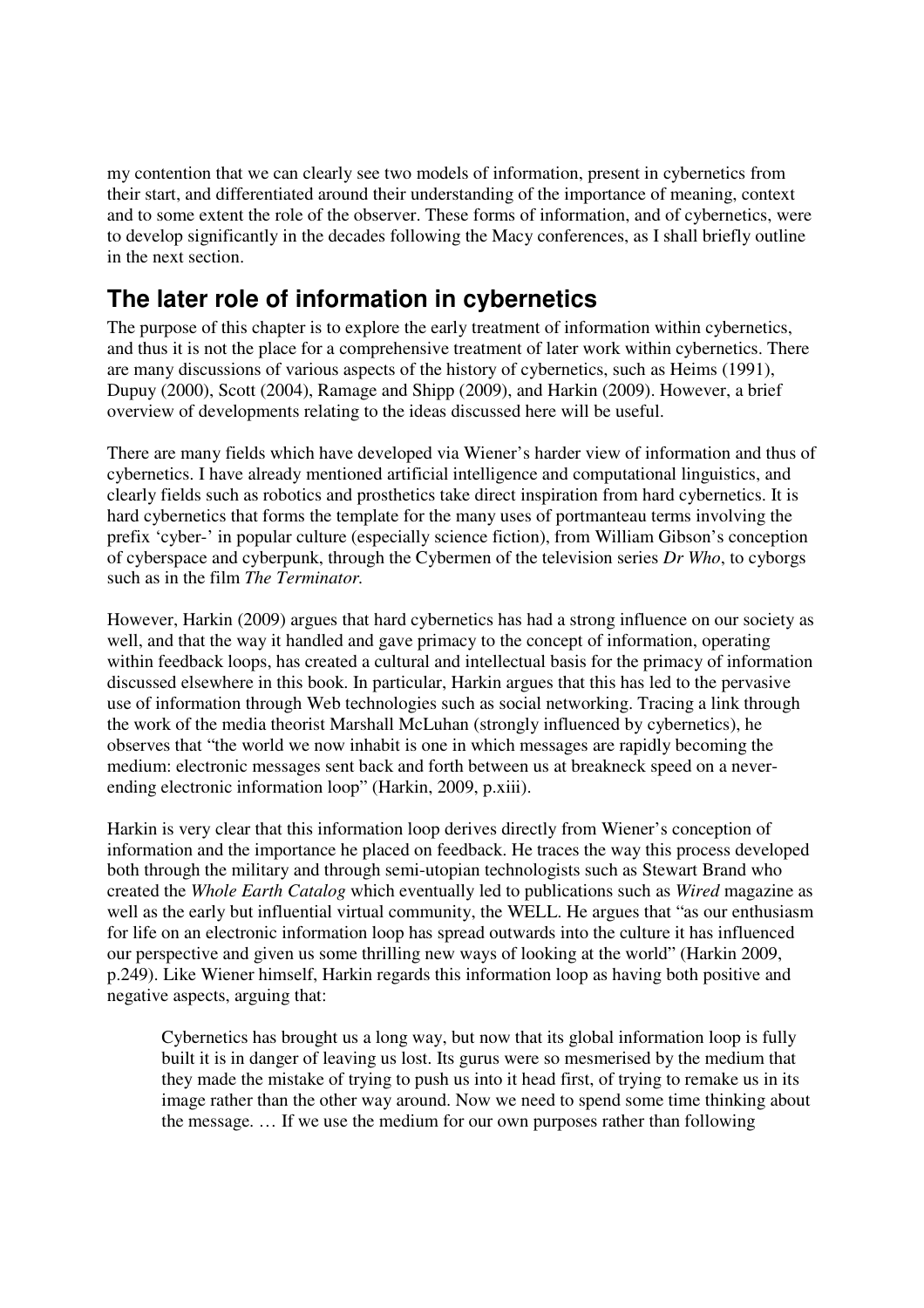my contention that we can clearly see two models of information, present in cybernetics from their start, and differentiated around their understanding of the importance of meaning, context and to some extent the role of the observer. These forms of information, and of cybernetics, were to develop significantly in the decades following the Macy conferences, as I shall briefly outline in the next section.

# **The later role of information in cybernetics**

The purpose of this chapter is to explore the early treatment of information within cybernetics, and thus it is not the place for a comprehensive treatment of later work within cybernetics. There are many discussions of various aspects of the history of cybernetics, such as Heims (1991), Dupuy (2000), Scott (2004), Ramage and Shipp (2009), and Harkin (2009). However, a brief overview of developments relating to the ideas discussed here will be useful.

There are many fields which have developed via Wiener's harder view of information and thus of cybernetics. I have already mentioned artificial intelligence and computational linguistics, and clearly fields such as robotics and prosthetics take direct inspiration from hard cybernetics. It is hard cybernetics that forms the template for the many uses of portmanteau terms involving the prefix 'cyber-' in popular culture (especially science fiction), from William Gibson's conception of cyberspace and cyberpunk, through the Cybermen of the television series *Dr Who*, to cyborgs such as in the film *The Terminator.* 

However, Harkin (2009) argues that hard cybernetics has had a strong influence on our society as well, and that the way it handled and gave primacy to the concept of information, operating within feedback loops, has created a cultural and intellectual basis for the primacy of information discussed elsewhere in this book. In particular, Harkin argues that this has led to the pervasive use of information through Web technologies such as social networking. Tracing a link through the work of the media theorist Marshall McLuhan (strongly influenced by cybernetics), he observes that "the world we now inhabit is one in which messages are rapidly becoming the medium: electronic messages sent back and forth between us at breakneck speed on a neverending electronic information loop" (Harkin, 2009, p.xiii).

Harkin is very clear that this information loop derives directly from Wiener's conception of information and the importance he placed on feedback. He traces the way this process developed both through the military and through semi-utopian technologists such as Stewart Brand who created the *Whole Earth Catalog* which eventually led to publications such as *Wired* magazine as well as the early but influential virtual community, the WELL. He argues that "as our enthusiasm" for life on an electronic information loop has spread outwards into the culture it has influenced our perspective and given us some thrilling new ways of looking at the world" (Harkin 2009, p.249). Like Wiener himself, Harkin regards this information loop as having both positive and negative aspects, arguing that:

Cybernetics has brought us a long way, but now that its global information loop is fully built it is in danger of leaving us lost. Its gurus were so mesmerised by the medium that they made the mistake of trying to push us into it head first, of trying to remake us in its image rather than the other way around. Now we need to spend some time thinking about the message. … If we use the medium for our own purposes rather than following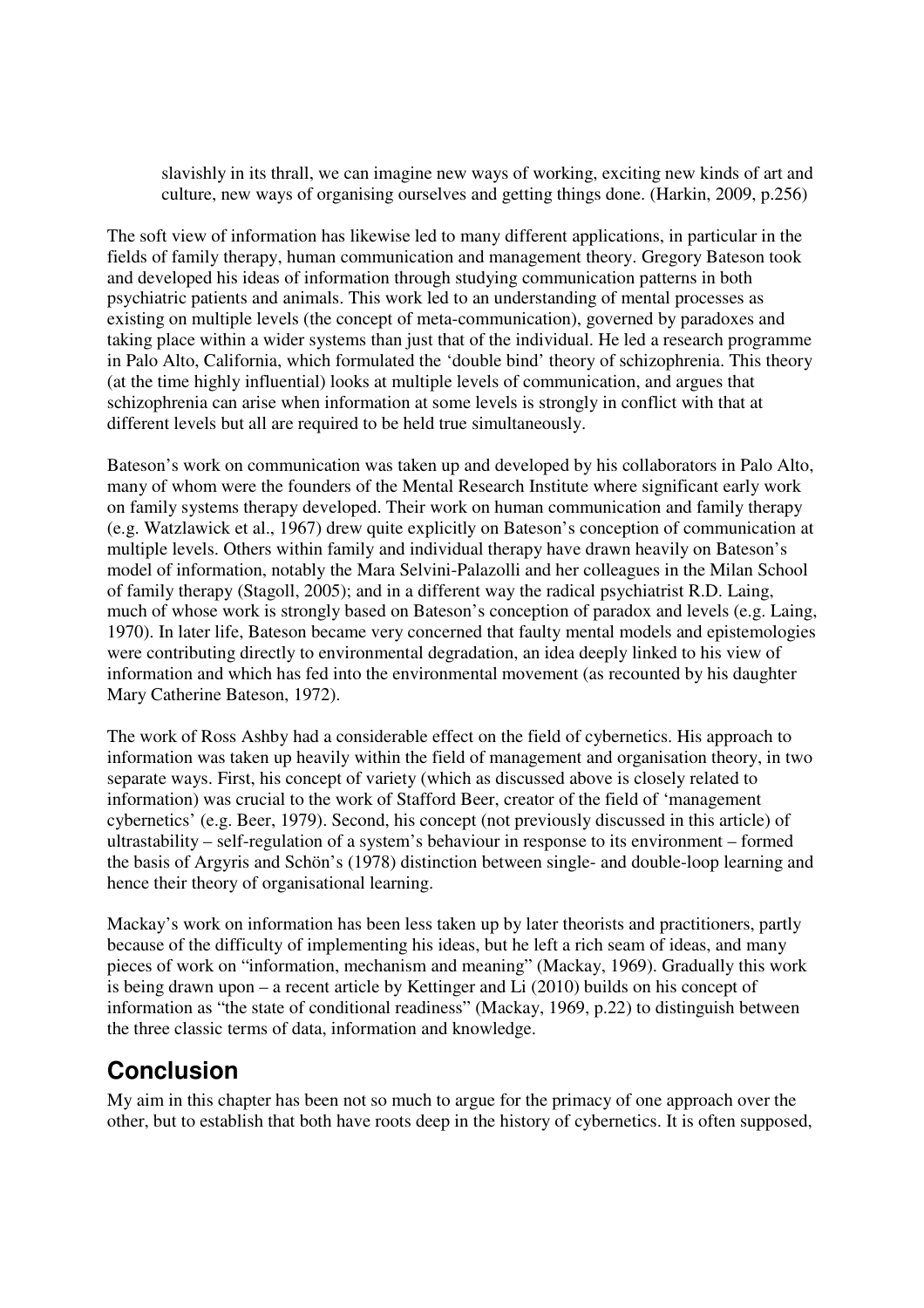slavishly in its thrall, we can imagine new ways of working, exciting new kinds of art and culture, new ways of organising ourselves and getting things done. (Harkin, 2009, p.256)

The soft view of information has likewise led to many different applications, in particular in the fields of family therapy, human communication and management theory. Gregory Bateson took and developed his ideas of information through studying communication patterns in both psychiatric patients and animals. This work led to an understanding of mental processes as existing on multiple levels (the concept of meta-communication), governed by paradoxes and taking place within a wider systems than just that of the individual. He led a research programme in Palo Alto, California, which formulated the 'double bind' theory of schizophrenia. This theory (at the time highly influential) looks at multiple levels of communication, and argues that schizophrenia can arise when information at some levels is strongly in conflict with that at different levels but all are required to be held true simultaneously.

Bateson's work on communication was taken up and developed by his collaborators in Palo Alto, many of whom were the founders of the Mental Research Institute where significant early work on family systems therapy developed. Their work on human communication and family therapy (e.g. Watzlawick et al., 1967) drew quite explicitly on Bateson's conception of communication at multiple levels. Others within family and individual therapy have drawn heavily on Bateson's model of information, notably the Mara Selvini-Palazolli and her colleagues in the Milan School of family therapy (Stagoll, 2005); and in a different way the radical psychiatrist R.D. Laing, much of whose work is strongly based on Bateson's conception of paradox and levels (e.g. Laing, 1970). In later life, Bateson became very concerned that faulty mental models and epistemologies were contributing directly to environmental degradation, an idea deeply linked to his view of information and which has fed into the environmental movement (as recounted by his daughter Mary Catherine Bateson, 1972).

The work of Ross Ashby had a considerable effect on the field of cybernetics. His approach to information was taken up heavily within the field of management and organisation theory, in two separate ways. First, his concept of variety (which as discussed above is closely related to information) was crucial to the work of Stafford Beer, creator of the field of 'management cybernetics' (e.g. Beer, 1979). Second, his concept (not previously discussed in this article) of ultrastability – self-regulation of a system's behaviour in response to its environment – formed the basis of Argyris and Schön's (1978) distinction between single- and double-loop learning and hence their theory of organisational learning.

Mackay's work on information has been less taken up by later theorists and practitioners, partly because of the difficulty of implementing his ideas, but he left a rich seam of ideas, and many pieces of work on "information, mechanism and meaning" (Mackay, 1969). Gradually this work is being drawn upon – a recent article by Kettinger and Li (2010) builds on his concept of information as "the state of conditional readiness" (Mackay, 1969, p.22) to distinguish between the three classic terms of data, information and knowledge.

# **Conclusion**

My aim in this chapter has been not so much to argue for the primacy of one approach over the other, but to establish that both have roots deep in the history of cybernetics. It is often supposed,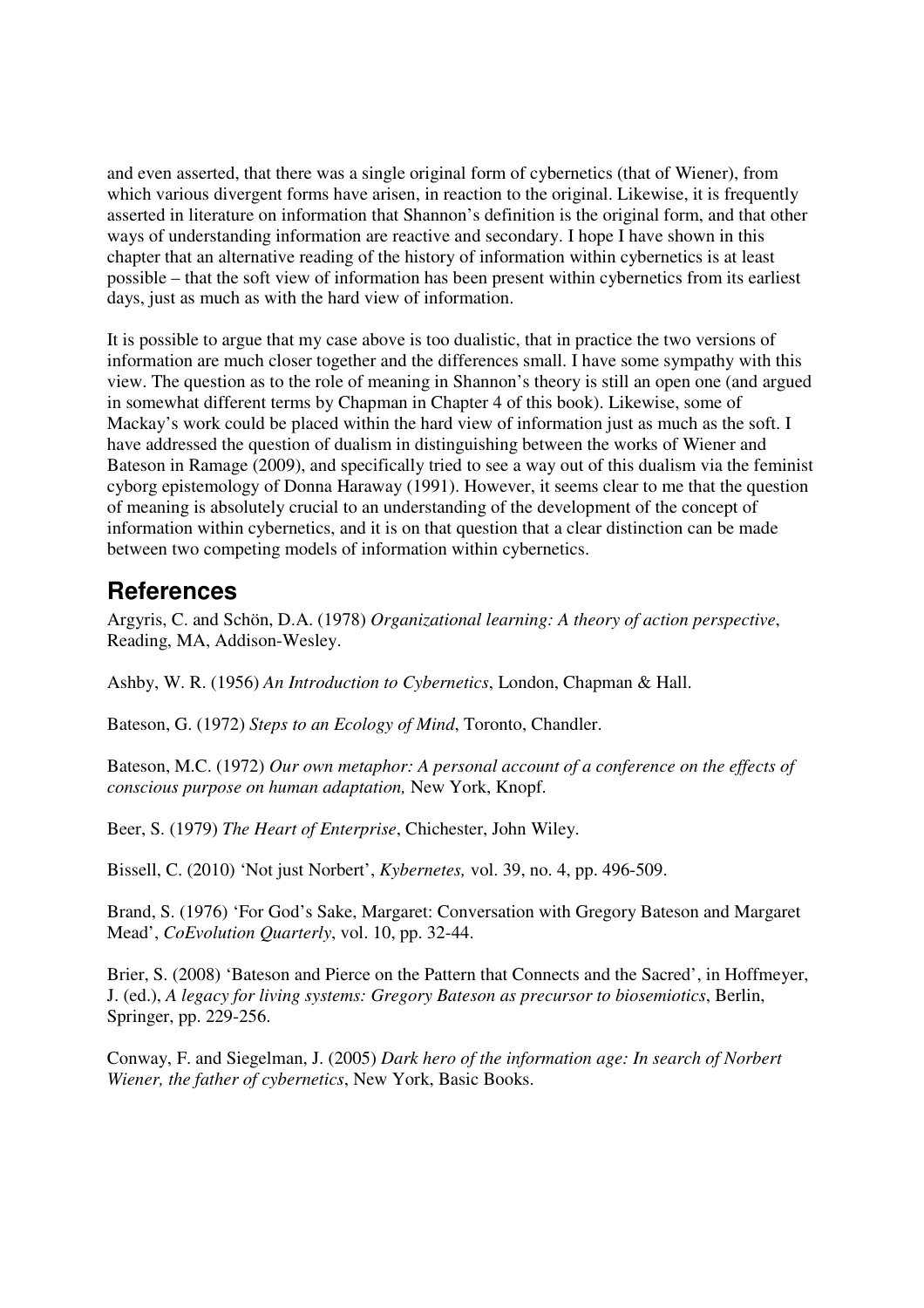and even asserted, that there was a single original form of cybernetics (that of Wiener), from which various divergent forms have arisen, in reaction to the original. Likewise, it is frequently asserted in literature on information that Shannon's definition is the original form, and that other ways of understanding information are reactive and secondary. I hope I have shown in this chapter that an alternative reading of the history of information within cybernetics is at least possible – that the soft view of information has been present within cybernetics from its earliest days, just as much as with the hard view of information.

It is possible to argue that my case above is too dualistic, that in practice the two versions of information are much closer together and the differences small. I have some sympathy with this view. The question as to the role of meaning in Shannon's theory is still an open one (and argued in somewhat different terms by Chapman in Chapter 4 of this book). Likewise, some of Mackay's work could be placed within the hard view of information just as much as the soft. I have addressed the question of dualism in distinguishing between the works of Wiener and Bateson in Ramage (2009), and specifically tried to see a way out of this dualism via the feminist cyborg epistemology of Donna Haraway (1991). However, it seems clear to me that the question of meaning is absolutely crucial to an understanding of the development of the concept of information within cybernetics, and it is on that question that a clear distinction can be made between two competing models of information within cybernetics.

#### **References**

Argyris, C. and Schön, D.A. (1978) *Organizational learning: A theory of action perspective*, Reading, MA, Addison-Wesley.

Ashby, W. R. (1956) *An Introduction to Cybernetics*, London, Chapman & Hall.

Bateson, G. (1972) *Steps to an Ecology of Mind*, Toronto, Chandler.

Bateson, M.C. (1972) *Our own metaphor: A personal account of a conference on the effects of conscious purpose on human adaptation,* New York, Knopf.

Beer, S. (1979) *The Heart of Enterprise*, Chichester, John Wiley.

Bissell, C. (2010) 'Not just Norbert', *Kybernetes,* vol. 39, no. 4, pp. 496-509.

Brand, S. (1976) 'For God's Sake, Margaret: Conversation with Gregory Bateson and Margaret Mead', *CoEvolution Quarterly*, vol. 10, pp. 32-44.

Brier, S. (2008) 'Bateson and Pierce on the Pattern that Connects and the Sacred', in Hoffmeyer, J. (ed.), *A legacy for living systems: Gregory Bateson as precursor to biosemiotics*, Berlin, Springer, pp. 229-256.

Conway, F. and Siegelman, J. (2005) *Dark hero of the information age: In search of Norbert Wiener, the father of cybernetics*, New York, Basic Books.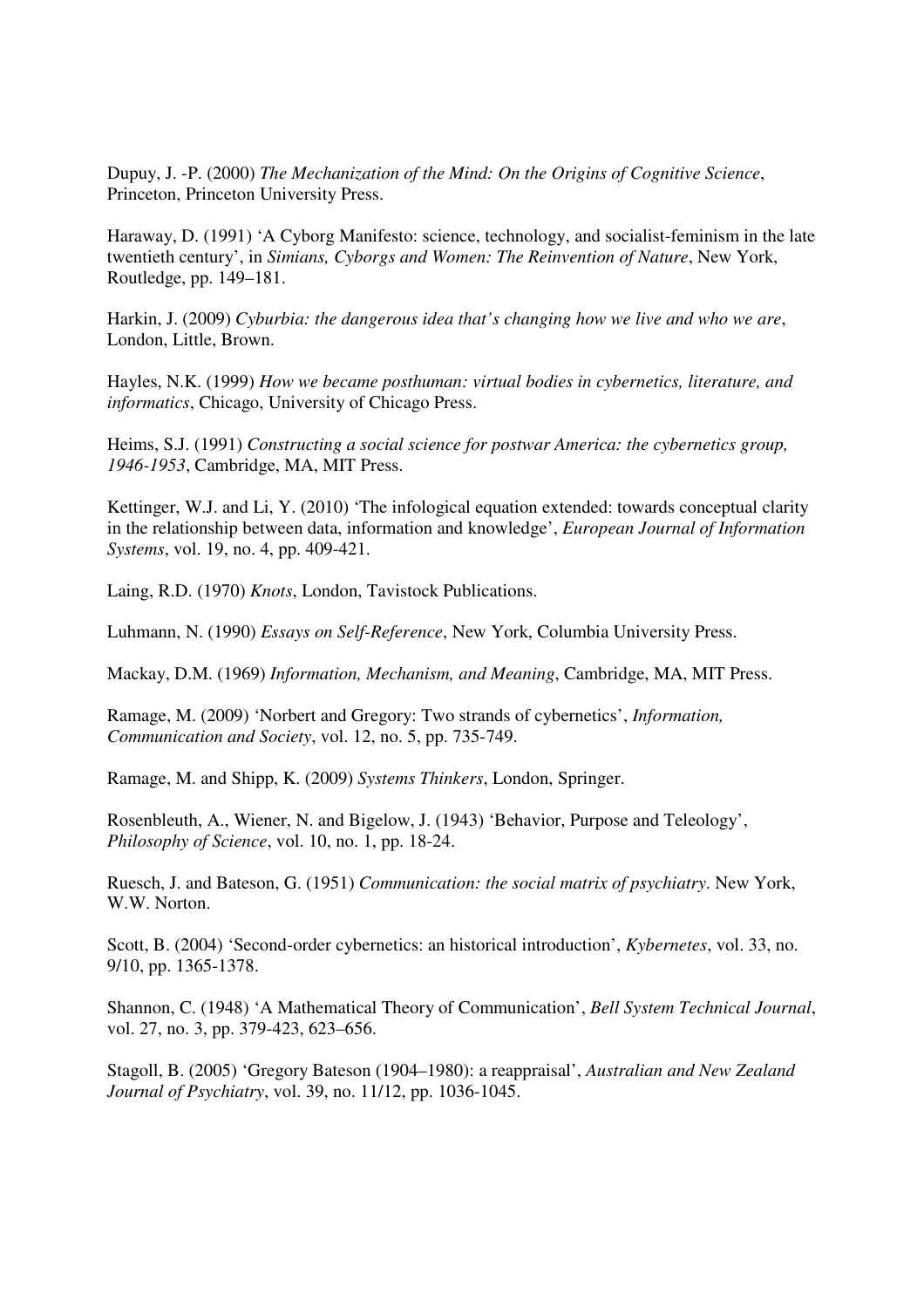Dupuy, J. -P. (2000) *The Mechanization of the Mind: On the Origins of Cognitive Science*, Princeton, Princeton University Press.

Haraway, D. (1991) 'A Cyborg Manifesto: science, technology, and socialist-feminism in the late twentieth century', in *Simians, Cyborgs and Women: The Reinvention of Nature*, New York, Routledge, pp. 149–181.

Harkin, J. (2009) *Cyburbia: the dangerous idea that's changing how we live and who we are*, London, Little, Brown.

Hayles, N.K. (1999) *How we became posthuman: virtual bodies in cybernetics, literature, and informatics*, Chicago, University of Chicago Press.

Heims, S.J. (1991) *Constructing a social science for postwar America: the cybernetics group, 1946-1953*, Cambridge, MA, MIT Press.

Kettinger, W.J. and Li, Y. (2010) 'The infological equation extended: towards conceptual clarity in the relationship between data, information and knowledge', *European Journal of Information Systems*, vol. 19, no. 4, pp. 409-421.

Laing, R.D. (1970) *Knots*, London, Tavistock Publications.

Luhmann, N. (1990) *Essays on Self-Reference*, New York, Columbia University Press.

Mackay, D.M. (1969) *Information, Mechanism, and Meaning*, Cambridge, MA, MIT Press.

Ramage, M. (2009) 'Norbert and Gregory: Two strands of cybernetics', *Information, Communication and Society*, vol. 12, no. 5, pp. 735-749.

Ramage, M. and Shipp, K. (2009) *Systems Thinkers*, London, Springer.

Rosenbleuth, A., Wiener, N. and Bigelow, J. (1943) 'Behavior, Purpose and Teleology', *Philosophy of Science*, vol. 10, no. 1, pp. 18-24.

Ruesch, J. and Bateson, G. (1951) *Communication: the social matrix of psychiatry*. New York, W.W. Norton.

Scott, B. (2004) 'Second-order cybernetics: an historical introduction', *Kybernetes*, vol. 33, no. 9/10, pp. 1365-1378.

Shannon, C. (1948) 'A Mathematical Theory of Communication', *Bell System Technical Journal*, vol. 27, no. 3, pp. 379-423, 623–656.

Stagoll, B. (2005) 'Gregory Bateson (1904–1980): a reappraisal', *Australian and New Zealand Journal of Psychiatry*, vol. 39, no. 11/12, pp. 1036-1045.